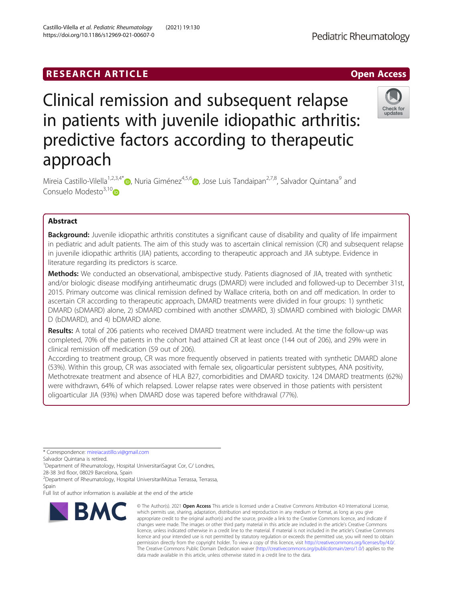# RESEARCH ARTICLE **External of the Contract Contract Contract Contract Contract Contract Contract Contract Contract Contract Contract Contract Contract Contract Contract Contract Contract Contract Contract Contract Contract**

# Clinical remission and subsequent relapse in patients with juvenile idiopathic arthritis: predictive factors according to therapeutic approach

Mireia Castillo-Vilella<sup>1,2,3,4[\\*](http://orcid.org/0000-0002-5995-2079)</sup> <sub>(b)</sub>[,](https://orcid.org/0000-0002-0962-6216) Nuria Giménez<sup>4,5,6</sup> (b), Jose Luis Tandaipan<sup>2,7,8</sup>, Salvador Quintana<sup>9</sup> and Consuelo Modesto<sup>3,1[0](https://orcid.org/0000-0002-4983-5506)</sup><sub>10</sub>

## Abstract

**Background:** Juvenile idiopathic arthritis constitutes a significant cause of disability and quality of life impairment in pediatric and adult patients. The aim of this study was to ascertain clinical remission (CR) and subsequent relapse in juvenile idiopathic arthritis (JIA) patients, according to therapeutic approach and JIA subtype. Evidence in literature regarding its predictors is scarce.

Methods: We conducted an observational, ambispective study. Patients diagnosed of JIA, treated with synthetic and/or biologic disease modifying antirheumatic drugs (DMARD) were included and followed-up to December 31st, 2015. Primary outcome was clinical remission defined by Wallace criteria, both on and off medication. In order to ascertain CR according to therapeutic approach, DMARD treatments were divided in four groups: 1) synthetic DMARD (sDMARD) alone, 2) sDMARD combined with another sDMARD, 3) sDMARD combined with biologic DMAR D (bDMARD), and 4) bDMARD alone.

Results: A total of 206 patients who received DMARD treatment were included. At the time the follow-up was completed, 70% of the patients in the cohort had attained CR at least once (144 out of 206), and 29% were in clinical remission off medication (59 out of 206).

According to treatment group, CR was more frequently observed in patients treated with synthetic DMARD alone (53%). Within this group, CR was associated with female sex, oligoarticular persistent subtypes, ANA positivity, Methotrexate treatment and absence of HLA B27, comorbidities and DMARD toxicity. 124 DMARD treatments (62%) were withdrawn, 64% of which relapsed. Lower relapse rates were observed in those patients with persistent oligoarticular JIA (93%) when DMARD dose was tapered before withdrawal (77%).

\* Correspondence: [mireiacastillo.vi@gmail.com](mailto:mireiacastillo.vi@gmail.com)

Salvador Quintana is retired.

<sup>1</sup>Department of Rheumatology, Hospital UniversitariSagrat Cor, C/ Londres, 28-38 3rd floor, 08029 Barcelona, Spain

<sup>2</sup> Department of Rheumatology, Hospital Universitari Mútua Terrassa, Terrassa, Spain

Full list of author information is available at the end of the article



<sup>©</sup> The Author(s), 2021 **Open Access** This article is licensed under a Creative Commons Attribution 4.0 International License, which permits use, sharing, adaptation, distribution and reproduction in any medium or format, as long as you give appropriate credit to the original author(s) and the source, provide a link to the Creative Commons licence, and indicate if changes were made. The images or other third party material in this article are included in the article's Creative Commons licence, unless indicated otherwise in a credit line to the material. If material is not included in the article's Creative Commons licence and your intended use is not permitted by statutory regulation or exceeds the permitted use, you will need to obtain permission directly from the copyright holder. To view a copy of this licence, visit [http://creativecommons.org/licenses/by/4.0/.](http://creativecommons.org/licenses/by/4.0/) The Creative Commons Public Domain Dedication waiver [\(http://creativecommons.org/publicdomain/zero/1.0/](http://creativecommons.org/publicdomain/zero/1.0/)) applies to the data made available in this article, unless otherwise stated in a credit line to the data.

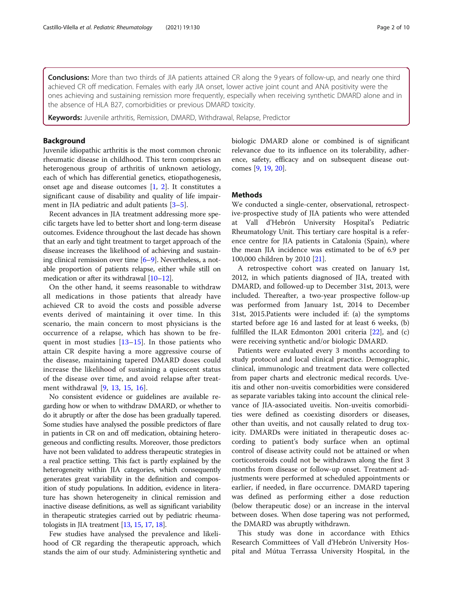Conclusions: More than two thirds of JIA patients attained CR along the 9 years of follow-up, and nearly one third achieved CR off medication. Females with early JIA onset, lower active joint count and ANA positivity were the ones achieving and sustaining remission more frequently, especially when receiving synthetic DMARD alone and in the absence of HLA B27, comorbidities or previous DMARD toxicity.

**Keywords:** Juvenile arthritis, Remission, DMARD, Withdrawal, Relapse, Predictor

#### Background

Juvenile idiopathic arthritis is the most common chronic rheumatic disease in childhood. This term comprises an heterogenous group of arthritis of unknown aetiology, each of which has differential genetics, etiopathogenesis, onset age and disease outcomes  $[1, 2]$  $[1, 2]$  $[1, 2]$ . It constitutes a significant cause of disability and quality of life impairment in JIA pediatric and adult patients [\[3](#page-8-0)–[5](#page-8-0)].

Recent advances in JIA treatment addressing more specific targets have led to better short and long-term disease outcomes. Evidence throughout the last decade has shown that an early and tight treatment to target approach of the disease increases the likelihood of achieving and sustaining clinical remission over time [[6](#page-8-0)–[9](#page-9-0)]. Nevertheless, a notable proportion of patients relapse, either while still on medication or after its withdrawal [[10](#page-9-0)–[12\]](#page-9-0).

On the other hand, it seems reasonable to withdraw all medications in those patients that already have achieved CR to avoid the costs and possible adverse events derived of maintaining it over time. In this scenario, the main concern to most physicians is the occurrence of a relapse, which has shown to be frequent in most studies  $[13-15]$  $[13-15]$  $[13-15]$  $[13-15]$ . In those patients who attain CR despite having a more aggressive course of the disease, maintaining tapered DMARD doses could increase the likelihood of sustaining a quiescent status of the disease over time, and avoid relapse after treatment withdrawal [\[9](#page-9-0), [13](#page-9-0), [15,](#page-9-0) [16\]](#page-9-0).

No consistent evidence or guidelines are available regarding how or when to withdraw DMARD, or whether to do it abruptly or after the dose has been gradually tapered. Some studies have analysed the possible predictors of flare in patients in CR on and off medication, obtaining heterogeneous and conflicting results. Moreover, those predictors have not been validated to address therapeutic strategies in a real practice setting. This fact is partly explained by the heterogeneity within JIA categories, which consequently generates great variability in the definition and composition of study populations. In addition, evidence in literature has shown heterogeneity in clinical remission and inactive disease definitions, as well as significant variability in therapeutic strategies carried out by pediatric rheumatologists in JIA treatment [\[13,](#page-9-0) [15,](#page-9-0) [17,](#page-9-0) [18](#page-9-0)].

Few studies have analysed the prevalence and likelihood of CR regarding the therapeutic approach, which stands the aim of our study. Administering synthetic and biologic DMARD alone or combined is of significant relevance due to its influence on its tolerability, adherence, safety, efficacy and on subsequent disease outcomes [[9,](#page-9-0) [19,](#page-9-0) [20](#page-9-0)].

### Methods

We conducted a single-center, observational, retrospective-prospective study of JIA patients who were attended at Vall d'Hebrón University Hospital's Pediatric Rheumatology Unit. This tertiary care hospital is a reference centre for JIA patients in Catalonia (Spain), where the mean JIA incidence was estimated to be of 6.9 per 100,000 children by 2010 [[21\]](#page-9-0).

A retrospective cohort was created on January 1st, 2012, in which patients diagnosed of JIA, treated with DMARD, and followed-up to December 31st, 2013, were included. Thereafter, a two-year prospective follow-up was performed from January 1st, 2014 to December 31st, 2015.Patients were included if: (a) the symptoms started before age 16 and lasted for at least 6 weeks, (b) fulfilled the ILAR Edmonton 2001 criteria [[22](#page-9-0)], and (c) were receiving synthetic and/or biologic DMARD.

Patients were evaluated every 3 months according to study protocol and local clinical practice. Demographic, clinical, immunologic and treatment data were collected from paper charts and electronic medical records. Uveitis and other non-uveitis comorbidities were considered as separate variables taking into account the clinical relevance of JIA-associated uveitis. Non-uveitis comorbidities were defined as coexisting disorders or diseases, other than uveitis, and not causally related to drug toxicity. DMARDs were initiated in therapeutic doses according to patient's body surface when an optimal control of disease activity could not be attained or when corticosteroids could not be withdrawn along the first 3 months from disease or follow-up onset. Treatment adjustments were performed at scheduled appointments or earlier, if needed, in flare occurrence. DMARD tapering was defined as performing either a dose reduction (below therapeutic dose) or an increase in the interval between doses. When dose tapering was not performed, the DMARD was abruptly withdrawn.

This study was done in accordance with Ethics Research Committees of Vall d'Hebrón University Hospital and Mútua Terrassa University Hospital, in the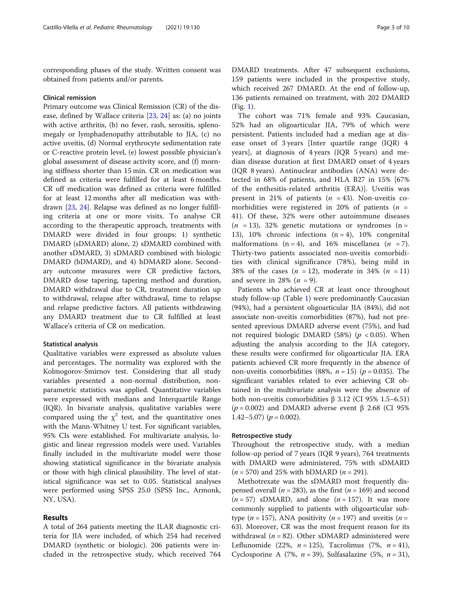corresponding phases of the study. Written consent was obtained from patients and/or parents.

#### Clinical remission

Primary outcome was Clinical Remission (CR) of the disease, defined by Wallace criteria [[23,](#page-9-0) [24\]](#page-9-0) as: (a) no joints with active arthritis, (b) no fever, rash, serositis, splenomegaly or lymphadenopathy attributable to JIA, (c) no active uveitis, (d) Normal erythrocyte sedimentation rate or C-reactive protein level, (e) lowest possible physician's global assessment of disease activity score, and (f) morning stiffness shorter than 15 min. CR on medication was defined as criteria were fulfilled for at least 6 months. CR off medication was defined as criteria were fulfilled for at least 12 months after all medication was withdrawn [\[23,](#page-9-0) [24](#page-9-0)]. Relapse was defined as no longer fulfilling criteria at one or more visits. To analyse CR according to the therapeutic approach, treatments with DMARD were divided in four groups: 1) synthetic DMARD (sDMARD) alone, 2) sDMARD combined with another sDMARD, 3) sDMARD combined with biologic DMARD (bDMARD), and 4) bDMARD alone. Secondary outcome measures were CR predictive factors, DMARD dose tapering, tapering method and duration, DMARD withdrawal due to CR, treatment duration up to withdrawal, relapse after withdrawal, time to relapse and relapse predictive factors. All patients withdrawing any DMARD treatment due to CR fulfilled at least Wallace's criteria of CR on medication.

#### Statistical analysis

Qualitative variables were expressed as absolute values and percentages. The normality was explored with the Kolmogorov-Smirnov test. Considering that all study variables presented a non-normal distribution, nonparametric statistics was applied. Quantitative variables were expressed with medians and Interquartile Range (IQR). In bivariate analysis, qualitative variables were compared using the  $\chi^2$  test, and the quantitative ones with the Mann-Whitney U test. For significant variables, 95% CIs were established. For multivariate analysis, logistic and linear regression models were used. Variables finally included in the multivariate model were those showing statistical significance in the bivariate analysis or those with high clinical plausibility. The level of statistical significance was set to 0.05. Statistical analyses were performed using SPSS 25.0 (SPSS Inc., Armonk, NY, USA).

### Results

A total of 264 patients meeting the ILAR diagnostic criteria for JIA were included, of which 254 had received DMARD (synthetic or biologic). 206 patients were included in the retrospective study, which received 764

DMARD treatments. After 47 subsequent exclusions, 159 patients were included in the prospective study, which received 267 DMARD. At the end of follow-up, 136 patients remained on treatment, with 202 DMARD (Fig. [1](#page-3-0)).

The cohort was 71% female and 93% Caucasian, 52% had an oligoarticular JIA, 79% of which were persistent. Patients included had a median age at disease onset of 3 years [Inter quartile range (IQR) 4 years], at diagnosis of 4 years (IQR 5 years) and median disease duration at first DMARD onset of 4 years (IQR 8 years). Antinuclear antibodies (ANA) were detected in 68% of patients, and HLA B27 in 15% [67% of the enthesitis-related arthritis (ERA)]. Uveitis was present in 21% of patients  $(n = 43)$ . Non-uveitis comorbidities were registered in 20% of patients ( $n =$ 41). Of these, 32% were other autoimmune diseases  $(n = 13)$ , 32% genetic mutations or syndromes  $(n = 13)$ 13), 10% chronic infections  $(n = 4)$ , 10% congenital malformations (n = 4), and 16% miscellanea (n = 7). Thirty-two patients associated non-uveitis comorbidities with clinical significance (78%), being mild in 38% of the cases  $(n = 12)$ , moderate in 34%  $(n = 11)$ and severe in 28%  $(n = 9)$ .

Patients who achieved CR at least once throughout study follow-up (Table [1\)](#page-4-0) were predominantly Caucasian (94%), had a persistent oligoarticular JIA (84%), did not associate non-uveitis comorbidities (87%), had not presented aprevious DMARD adverse event (75%), and had not required biologic DMARD (58%) ( $p < 0.05$ ). When adjusting the analysis according to the JIA category, these results were confirmed for oligoarticular JIA. ERA patients achieved CR more frequently in the absence of non-uveitis comorbidities (88%,  $n = 15$ ) ( $p = 0.035$ ). The significant variables related to ever achieving CR obtained in the multivariate analysis were the absence of both non-uveitis comorbidities  $β$  3.12 (CI 95% 1.5–6.51) ( $p = 0.002$ ) and DMARD adverse event  $\beta$  2.68 (CI 95%)  $1.42 - 5.07$ ) ( $p = 0.002$ ).

#### Retrospective study

Throughout the retrospective study, with a median follow-up period of 7 years (IQR 9 years), 764 treatments with DMARD were administered, 75% with sDMARD  $(n = 570)$  and 25% with bDMARD  $(n = 291)$ .

Methotrexate was the sDMARD most frequently dispensed overall ( $n = 283$ ), as the first ( $n = 169$ ) and second  $(n = 57)$  sDMARD, and alone  $(n = 157)$ . It was more commonly supplied to patients with oligoarticular subtype ( $n = 157$ ), ANA positivity ( $n = 197$ ) and uveitis ( $n =$ 63). Moreover, CR was the most frequent reason for its withdrawal ( $n = 82$ ). Other sDMARD administered were Leflunomide (22%,  $n = 125$ ), Tacrolimus (7%,  $n = 41$ ), Cyclosporine A (7%,  $n = 39$ ), Sulfasalazine (5%,  $n = 31$ ),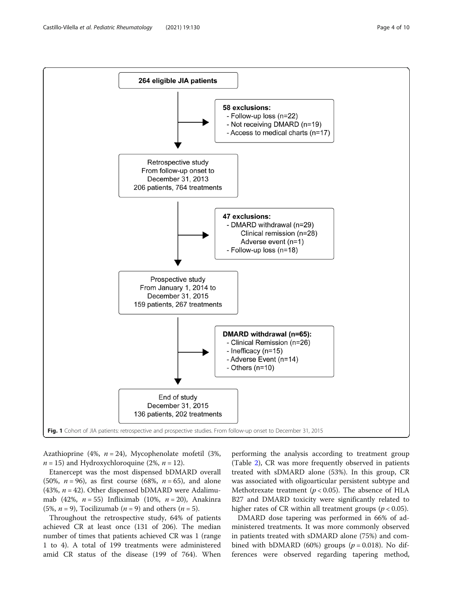<span id="page-3-0"></span>

Azathioprine (4%,  $n = 24$ ), Mycophenolate mofetil (3%,  $n = 15$ ) and Hydroxychloroquine (2%,  $n = 12$ ).

Etanercept was the most dispensed bDMARD overall (50%,  $n = 96$ ), as first course (68%,  $n = 65$ ), and alone (43%,  $n = 42$ ). Other dispensed bDMARD were Adalimumab (42%,  $n = 55$ ) Infliximab (10%,  $n = 20$ ), Anakinra (5%,  $n = 9$ ), Tocilizumab ( $n = 9$ ) and others ( $n = 5$ ).

Throughout the retrospective study, 64% of patients achieved CR at least once (131 of 206). The median number of times that patients achieved CR was 1 (range 1 to 4). A total of 199 treatments were administered amid CR status of the disease (199 of 764). When

performing the analysis according to treatment group (Table [2\)](#page-5-0), CR was more frequently observed in patients treated with sDMARD alone (53%). In this group, CR was associated with oligoarticular persistent subtype and Methotrexate treatment ( $p < 0.05$ ). The absence of HLA B27 and DMARD toxicity were significantly related to higher rates of CR within all treatment groups ( $p < 0.05$ ).

DMARD dose tapering was performed in 66% of administered treatments. It was more commonly observed in patients treated with sDMARD alone (75%) and combined with bDMARD (60%) groups ( $p = 0.018$ ). No differences were observed regarding tapering method,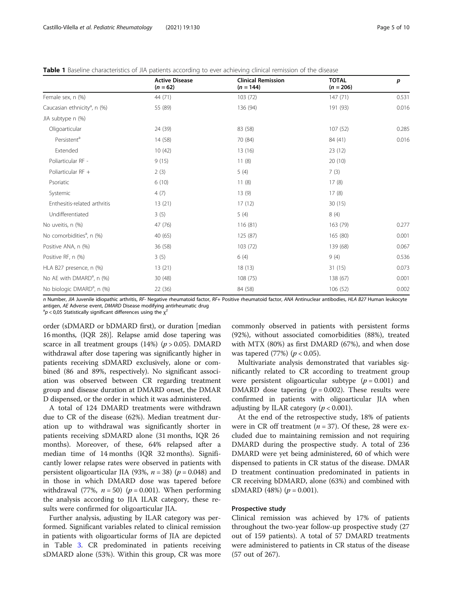<span id="page-4-0"></span>**Table 1** Baseline characteristics of JIA patients according to ever achieving clinical remission of the disease

|                                          | <b>Active Disease</b><br>$(n = 62)$ | <b>Clinical Remission</b><br>$(n = 144)$ | <b>TOTAL</b><br>$(n = 206)$ | p     |
|------------------------------------------|-------------------------------------|------------------------------------------|-----------------------------|-------|
| Female sex, n (%)                        | 44 (71)                             | 103(72)                                  | 147(71)                     | 0.531 |
| Caucasian ethnicity <sup>a</sup> , n (%) | 55 (89)                             | 136 (94)                                 | 191 (93)                    | 0.016 |
| JIA subtype n (%)                        |                                     |                                          |                             |       |
| Oligoarticular                           | 24 (39)                             | 83 (58)                                  | 107(52)                     | 0.285 |
| Persistent <sup>a</sup>                  | 14 (58)                             | 70 (84)                                  | 84 (41)                     | 0.016 |
| Extended                                 | 10(42)                              | 13 (16)                                  | 23(12)                      |       |
| Poliarticular RF -                       | 9(15)                               | 11(8)                                    | 20(10)                      |       |
| Poliarticular RF +                       | 2(3)                                | 5(4)                                     | 7(3)                        |       |
| Psoriatic                                | 6(10)                               | 11(8)                                    | 17(8)                       |       |
| Systemic                                 | 4(7)                                | 13(9)                                    | 17(8)                       |       |
| Enthesitis-related arthritis             | 13(21)                              | 17(12)                                   | 30(15)                      |       |
| Undifferentiated                         | 3(5)                                | 5(4)                                     | 8(4)                        |       |
| No uveitis, n (%)                        | 47 (76)                             | 116 (81)                                 | 163 (79)                    | 0.277 |
| No comorbidities <sup>a</sup> , n (%)    | 40 (65)                             | 125 (87)                                 | 165 (80)                    | 0.001 |
| Positive ANA, n (%)                      | 36(58)                              | 103 (72)                                 | 139 (68)                    | 0.067 |
| Positive RF, n (%)                       | 3(5)                                | 6(4)                                     | 9(4)                        | 0.536 |
| HLA B27 presence, n (%)                  | 13(21)                              | 18(13)                                   | 31(15)                      | 0.073 |
| No AE with DMARD <sup>a</sup> , n (%)    | 30(48)                              | 108 (75)                                 | 138 (67)                    | 0.001 |
| No biologic DMARD <sup>a</sup> , n (%)   | 22 (36)                             | 84 (58)                                  | 106 (52)                    | 0.002 |

n Number, JIA Juvenile idiopathic arthritis, RF- Negative rheumatoid factor, RF+ Positive rheumatoid factor, ANA Antinuclear antibodies, HLA B27 Human leukocyte antigen, AE Adverse event, DMARD Disease modifying antirheumatic drug

 $\alpha^2$ p < 0,05 Statistically significant differences using the  $\chi^2$ 

order (sDMARD or bDMARD first), or duration [median 16 months, (IQR 28)]. Relapse amid dose tapering was scarce in all treatment groups  $(14%)$   $(p > 0.05)$ . DMARD withdrawal after dose tapering was significantly higher in patients receiving sDMARD exclusively, alone or combined (86 and 89%, respectively). No significant association was observed between CR regarding treatment group and disease duration at DMARD onset, the DMAR D dispensed, or the order in which it was administered.

A total of 124 DMARD treatments were withdrawn due to CR of the disease (62%). Median treatment duration up to withdrawal was significantly shorter in patients receiving sDMARD alone (31 months, IQR 26 months). Moreover, of these, 64% relapsed after a median time of 14 months (IQR 32 months). Significantly lower relapse rates were observed in patients with persistent oligoarticular JIA (93%,  $n = 38$ ) ( $p = 0.048$ ) and in those in which DMARD dose was tapered before withdrawal (77%,  $n = 50$ ) ( $p = 0.001$ ). When performing the analysis according to JIA ILAR category, these results were confirmed for oligoarticular JIA.

Further analysis, adjusting by ILAR category was performed. Significant variables related to clinical remission in patients with oligoarticular forms of JIA are depicted in Table [3.](#page-5-0) CR predominated in patients receiving sDMARD alone (53%). Within this group, CR was more

commonly observed in patients with persistent forms (92%), without associated comorbidities (88%), treated with MTX (80%) as first DMARD (67%), and when dose was tapered (77%) ( $p < 0.05$ ).

Multivariate analysis demonstrated that variables significantly related to CR according to treatment group were persistent oligoarticular subtype  $(p = 0.001)$  and DMARD dose tapering  $(p = 0.002)$ . These results were confirmed in patients with oligoarticular JIA when adjusting by ILAR category ( $p < 0.001$ ).

At the end of the retrospective study, 18% of patients were in CR off treatment ( $n = 37$ ). Of these, 28 were excluded due to maintaining remission and not requiring DMARD during the prospective study. A total of 236 DMARD were yet being administered, 60 of which were dispensed to patients in CR status of the disease. DMAR D treatment continuation predominated in patients in CR receiving bDMARD, alone (63%) and combined with sDMARD (48%) ( $p = 0.001$ ).

#### Prospective study

Clinical remission was achieved by 17% of patients throughout the two-year follow-up prospective study (27 out of 159 patients). A total of 57 DMARD treatments were administered to patients in CR status of the disease (57 out of 267).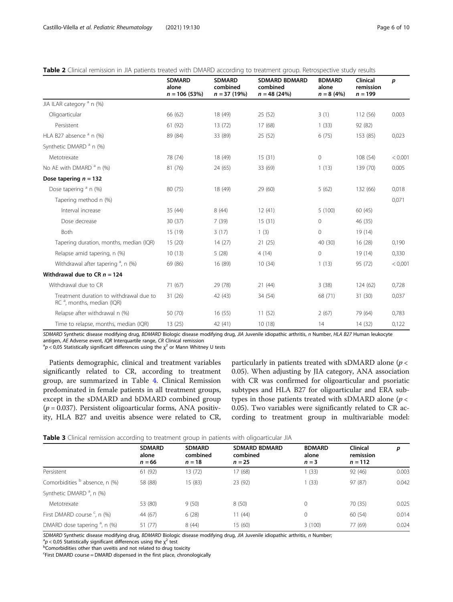|                                                                          | <b>SDMARD</b><br>alone<br>$n = 106(53%)$ | <b>SDMARD</b><br>combined<br>$n = 37(19%)$ | <b>SDMARD BDMARD</b><br>combined<br>$n = 48(24%)$ | <b>BDMARD</b><br>alone<br>$n = 8(4%)$ | Clinical<br>remission<br>$n = 199$ | p       |
|--------------------------------------------------------------------------|------------------------------------------|--------------------------------------------|---------------------------------------------------|---------------------------------------|------------------------------------|---------|
| JIA ILAR category <sup>a</sup> n (%)                                     |                                          |                                            |                                                   |                                       |                                    |         |
| Oligoarticular                                                           | 66 (62)                                  | 18 (49)                                    | 25(52)                                            | 3(1)                                  | 112 (56)                           | 0.003   |
| Persistent                                                               | 61 (92)                                  | 13(72)                                     | 17 (68)                                           | 1(33)                                 | 92 (82)                            |         |
| HLA B27 absence $a$ n (%)                                                | 89 (84)                                  | 33 (89)                                    | 25(52)                                            | 6(75)                                 | 153 (85)                           | 0,023   |
| Synthetic DMARD <sup>a</sup> n (%)                                       |                                          |                                            |                                                   |                                       |                                    |         |
| Metotrexate                                                              | 78 (74)                                  | 18 (49)                                    | 15(31)                                            | $\mathbf 0$                           | 108 (54)                           | < 0.001 |
| No AE with DMARD $^a$ n (%)                                              | 81 (76)                                  | 24 (65)                                    | 33 (69)                                           | 1(13)                                 | 139 (70)                           | 0.005   |
| Dose tapering $n = 132$                                                  |                                          |                                            |                                                   |                                       |                                    |         |
| Dose tapering $a$ n (%)                                                  | 80 (75)                                  | 18 (49)                                    | 29 (60)                                           | 5(62)                                 | 132 (66)                           | 0,018   |
| Tapering method n (%)                                                    |                                          |                                            |                                                   |                                       |                                    | 0,071   |
| Interval increase                                                        | 35 (44)                                  | 8(44)                                      | 12(41)                                            | 5(100)                                | 60(45)                             |         |
| Dose decrease                                                            | 30(37)                                   | 7(39)                                      | 15(31)                                            | $\mathbf{0}$                          | 46 (35)                            |         |
| Both                                                                     | 15 (19)                                  | 3(17)                                      | 1(3)                                              | $\mathbf 0$                           | 19 (14)                            |         |
| Tapering duration, months, median (IQR)                                  | 15(20)                                   | 14(27)                                     | 21(25)                                            | 40 (30)                               | 16(28)                             | 0,190   |
| Relapse amid tapering, n (%)                                             | 10(13)                                   | 5(28)                                      | 4(14)                                             | $\mathbf 0$                           | 19(14)                             | 0,330   |
| Withdrawal after tapering $a$ , n (%)                                    | 69 (86)                                  | 16 (89)                                    | 10(34)                                            | 1(13)                                 | 95 (72)                            | < 0,001 |
| Withdrawal due to CR $n = 124$                                           |                                          |                                            |                                                   |                                       |                                    |         |
| Withdrawal due to CR                                                     | 71 (67)                                  | 29 (78)                                    | 21(44)                                            | 3(38)                                 | 124(62)                            | 0,728   |
| Treatment duration to withdrawal due to<br>$RC^a$ , months, median (IQR) | 31 (26)                                  | 42 (43)                                    | 34 (54)                                           | 68 (71)                               | 31 (30)                            | 0,037   |
| Relapse after withdrawal n (%)                                           | 50 (70)                                  | 16(55)                                     | 11(52)                                            | 2(67)                                 | 79 (64)                            | 0,783   |
| Time to relapse, months, median (IQR)                                    | 13(25)                                   | 42 (41)                                    | 10(18)                                            | 14                                    | 14(32)                             | 0,122   |

<span id="page-5-0"></span>

| Table 2 Clinical remission in JIA patients treated with DMARD according to treatment group. Retrospective study results |  |
|-------------------------------------------------------------------------------------------------------------------------|--|
|-------------------------------------------------------------------------------------------------------------------------|--|

SDMARD Synthetic disease modifying drug, BDMARD Biologic disease modifying drug, JIA Juvenile idiopathic arthritis, n Number, HLA B27 Human leukocyte antigen, AE Adverse event, IQR Interquartile range, CR Clinical remission

 ${}^{a}p$  < 0,05 Statistically significant differences using the  $\chi^{2}$  or Mann Whitney U tests

Patients demographic, clinical and treatment variables significantly related to CR, according to treatment group, are summarized in Table [4.](#page-6-0) Clinical Remission predominated in female patients in all treatment groups, except in the sDMARD and bDMARD combined group  $(p = 0.037)$ . Persistent oligoarticular forms, ANA positivity, HLA B27 and uveitis absence were related to CR, particularly in patients treated with sDMARD alone ( $p <$ 0.05). When adjusting by JIA category, ANA association with CR was confirmed for oligoarticular and psoriatic subtypes and HLA B27 for oligoarticular and ERA subtypes in those patients treated with sDMARD alone ( $p <$ 0.05). Two variables were significantly related to CR according to treatment group in multivariable model:

|                                           | <b>SDMARD</b><br>alone<br>$n = 66$ | <b>SDMARD</b><br>combined<br>$n = 18$ | <b>SDMARD BDMARD</b><br>combined<br>$n = 25$ | <b>BDMARD</b><br>alone<br>$n = 3$ | Clinical<br>remission<br>$n = 112$ | p     |
|-------------------------------------------|------------------------------------|---------------------------------------|----------------------------------------------|-----------------------------------|------------------------------------|-------|
| Persistent                                | 61 (92)                            | 13 (72)                               | 17(68)                                       | (33)                              | 92 (46)                            | 0.003 |
| Comorbidities <sup>b</sup> absence, n (%) | 58 (88)                            | 15 (83)                               | 23 (92)                                      | (33)                              | 97 (87)                            | 0.042 |
| Synthetic DMARD <sup>a</sup> , n (%)      |                                    |                                       |                                              |                                   |                                    |       |
| Metotrexate                               | 53 (80)                            | 9(50)                                 | 8(50)                                        | $\mathbf 0$                       | 70 (35)                            | 0.025 |
| First DMARD course <sup>c</sup> , n (%)   | 44 (67)                            | 6(28)                                 | 11(44)                                       | 0                                 | 60 (54)                            | 0.014 |
| DMARD dose tapering <sup>a</sup> , n (%)  | 51 (77)                            | 8(44)                                 | 15(60)                                       | 3(100)                            | 77 (69)                            | 0.024 |

SDMARD Synthetic disease modifying drug, BDMARD Biologic disease modifying drug, JIA Juvenile idiopathic arthritis, n Number;

 ${}^{a}p$  < 0,05 Statistically significant differences using the  $\chi^{2}$  test becomorbidities other than uveitis and not related to drug toxicity

First DMARD course = DMARD dispensed in the first place, chronologically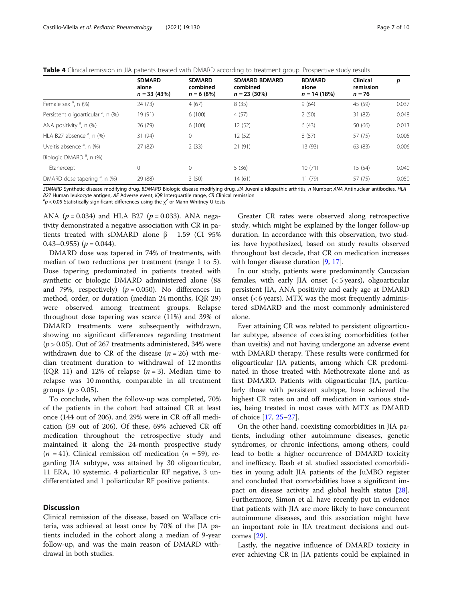<span id="page-6-0"></span>

| <b>Table 4</b> Clinical remission in JIA patients treated with DMARD according to treatment group. Prospective study results |  |
|------------------------------------------------------------------------------------------------------------------------------|--|
|------------------------------------------------------------------------------------------------------------------------------|--|

|                                                | <b>SDMARD</b><br>alone<br>$n = 33(43%)$ | <b>SDMARD</b><br>combined<br>$n = 6(8%)$ | <b>SDMARD BDMARD</b><br>combined<br>$n = 23(30\%)$ | <b>BDMARD</b><br>alone<br>$n = 14(18%)$ | <b>Clinical</b><br>remission<br>$n = 76$ | p     |
|------------------------------------------------|-----------------------------------------|------------------------------------------|----------------------------------------------------|-----------------------------------------|------------------------------------------|-------|
| Female sex $a$ , n $(\%)$                      | 24 (73)                                 | 4(67)                                    | 8(35)                                              | 9(64)                                   | 45 (59)                                  | 0.037 |
| Persistent oligoarticular <sup>a</sup> , n (%) | 19 (91)                                 | 6(100)                                   | 4(57)                                              | 2(50)                                   | 31 (82)                                  | 0.048 |
| ANA positivity $a$ , n (%)                     | 26 (79)                                 | 6(100)                                   | 12 (52)                                            | 6(43)                                   | 50 (66)                                  | 0.013 |
| HLA B27 absence $a$ , n (%)                    | 31 (94)                                 | 0                                        | 12 (52)                                            | 8(57)                                   | 57 (75)                                  | 0.005 |
| Uveitis absence $a$ , n (%)                    | 27 (82)                                 | 2(33)                                    | 21(91)                                             | 13 (93)                                 | 63 (83)                                  | 0.006 |
| Biologic DMARD <sup>a</sup> , n (%)            |                                         |                                          |                                                    |                                         |                                          |       |
| Etanercept                                     | 0                                       | 0                                        | 5(36)                                              | 10(71)                                  | 15(54)                                   | 0.040 |
| DMARD dose tapering <sup>a</sup> , n (%)       | 29 (88)                                 | 3(50)                                    | 14 (61)                                            | 11(79)                                  | 57 (75)                                  | 0.050 |

SDMARD Synthetic disease modifying drug, BDMARD Biologic disease modifying drug, JIA Juvenile idiopathic arthritis, n Number; ANA Antinuclear antibodies, HLA B27 Human leukocyte antigen, AE Adverse event; IQR Interquartile range, CR Clinical remission

 ${}^{a}p$  < 0,05 Statistically significant differences using the  $\chi^{2}$  or Mann Whitney U tests

ANA ( $p = 0.034$ ) and HLA B27 ( $p = 0.033$ ). ANA negativity demonstrated a negative association with CR in patients treated with sDMARD alone  $\beta$  - 1.59 (CI 95%) 0.43–0.955)  $(p = 0.044)$ .

DMARD dose was tapered in 74% of treatments, with median of two reductions per treatment (range 1 to 5). Dose tapering predominated in patients treated with synthetic or biologic DMARD administered alone (88 and 79%, respectively) ( $p = 0.050$ ). No differences in method, order, or duration (median 24 months, IQR 29) were observed among treatment groups. Relapse throughout dose tapering was scarce (11%) and 39% of DMARD treatments were subsequently withdrawn, showing no significant differences regarding treatment  $(p > 0.05)$ . Out of 267 treatments administered, 34% were withdrawn due to CR of the disease  $(n = 26)$  with median treatment duration to withdrawal of 12 months (IQR 11) and 12% of relapse  $(n = 3)$ . Median time to relapse was 10 months, comparable in all treatment groups  $(p > 0.05)$ .

To conclude, when the follow-up was completed, 70% of the patients in the cohort had attained CR at least once (144 out of 206), and 29% were in CR off all medication (59 out of 206). Of these, 69% achieved CR off medication throughout the retrospective study and maintained it along the 24-month prospective study  $(n = 41)$ . Clinical remission off medication  $(n = 59)$ , regarding JIA subtype, was attained by 30 oligoarticular, 11 ERA, 10 systemic, 4 poliarticular RF negative, 3 undifferentiated and 1 poliarticular RF positive patients.

### **Discussion**

Clinical remission of the disease, based on Wallace criteria, was achieved at least once by 70% of the JIA patients included in the cohort along a median of 9-year follow-up, and was the main reason of DMARD withdrawal in both studies.

Greater CR rates were observed along retrospective study, which might be explained by the longer follow-up duration. In accordance with this observation, two studies have hypothesized, based on study results observed throughout last decade, that CR on medication increases with longer disease duration [[9,](#page-9-0) [17\]](#page-9-0).

In our study, patients were predominantly Caucasian females, with early JIA onset (< 5 years), oligoarticular persistent JIA, ANA positivity and early age at DMARD onset  $(<$  6 years). MTX was the most frequently administered sDMARD and the most commonly administered alone.

Ever attaining CR was related to persistent oligoarticular subtype, absence of coexisting comorbidities (other than uveitis) and not having undergone an adverse event with DMARD therapy. These results were confirmed for oligoarticular JIA patients, among which CR predominated in those treated with Methotrexate alone and as first DMARD. Patients with oligoarticular JIA, particularly those with persistent subtype, have achieved the highest CR rates on and off medication in various studies, being treated in most cases with MTX as DMARD of choice [[17,](#page-9-0) [25](#page-9-0)–[27](#page-9-0)].

On the other hand, coexisting comorbidities in JIA patients, including other autoimmune diseases, genetic syndromes, or chronic infections, among others, could lead to both: a higher occurrence of DMARD toxicity and inefficacy. Raab et al. studied associated comorbidities in young adult JIA patients of the JuMBO register and concluded that comorbidities have a significant impact on disease activity and global health status [\[28](#page-9-0)]. Furthermore, Simon et al. have recently put in evidence that patients with JIA are more likely to have concurrent autoimmune diseases, and this association might have an important role in JIA treatment decisions and outcomes [[29\]](#page-9-0).

Lastly, the negative influence of DMARD toxicity in ever achieving CR in JIA patients could be explained in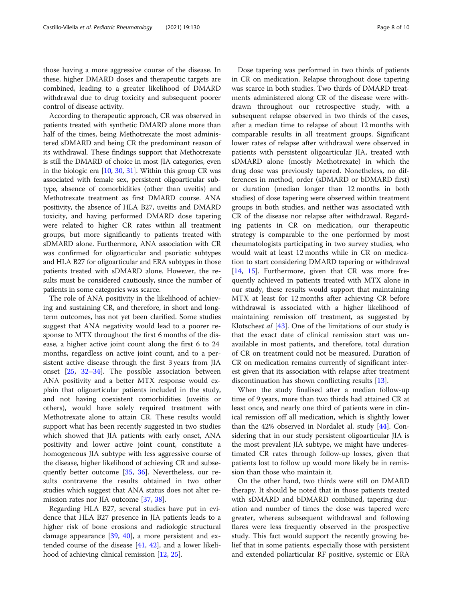those having a more aggressive course of the disease. In these, higher DMARD doses and therapeutic targets are combined, leading to a greater likelihood of DMARD withdrawal due to drug toxicity and subsequent poorer control of disease activity.

According to therapeutic approach, CR was observed in patients treated with synthetic DMARD alone more than half of the times, being Methotrexate the most administered sDMARD and being CR the predominant reason of its withdrawal. These findings support that Methotrexate is still the DMARD of choice in most JIA categories, even in the biologic era [\[10](#page-9-0), [30,](#page-9-0) [31\]](#page-9-0). Within this group CR was associated with female sex, persistent oligoarticular subtype, absence of comorbidities (other than uveitis) and Methotrexate treatment as first DMARD course. ANA positivity, the absence of HLA B27, uveitis and DMARD toxicity, and having performed DMARD dose tapering were related to higher CR rates within all treatment groups, but more significantly to patients treated with sDMARD alone. Furthermore, ANA association with CR was confirmed for oligoarticular and psoriatic subtypes and HLA B27 for oligoarticular and ERA subtypes in those patients treated with sDMARD alone. However, the results must be considered cautiously, since the number of patients in some categories was scarce.

The role of ANA positivity in the likelihood of achieving and sustaining CR, and therefore, in short and longterm outcomes, has not yet been clarified. Some studies suggest that ANA negativity would lead to a poorer response to MTX throughout the first 6 months of the disease, a higher active joint count along the first 6 to 24 months, regardless on active joint count, and to a persistent active disease through the first 3 years from JIA onset [\[25](#page-9-0), [32](#page-9-0)–[34](#page-9-0)]. The possible association between ANA positivity and a better MTX response would explain that oligoarticular patients included in the study, and not having coexistent comorbidities (uveitis or others), would have solely required treatment with Methotrexate alone to attain CR. These results would support what has been recently suggested in two studies which showed that JIA patients with early onset, ANA positivity and lower active joint count, constitute a homogeneous JIA subtype with less aggressive course of the disease, higher likelihood of achieving CR and subsequently better outcome [\[35](#page-9-0), [36\]](#page-9-0). Nevertheless, our results contravene the results obtained in two other studies which suggest that ANA status does not alter remission rates nor JIA outcome [[37](#page-9-0), [38](#page-9-0)].

Regarding HLA B27, several studies have put in evidence that HLA B27 presence in JIA patients leads to a higher risk of bone erosions and radiologic structural damage appearance [\[39](#page-9-0), [40](#page-9-0)], a more persistent and extended course of the disease [\[41,](#page-9-0) [42](#page-9-0)], and a lower likelihood of achieving clinical remission [[12,](#page-9-0) [25\]](#page-9-0).

Dose tapering was performed in two thirds of patients in CR on medication. Relapse throughout dose tapering was scarce in both studies. Two thirds of DMARD treatments administered along CR of the disease were withdrawn throughout our retrospective study, with a subsequent relapse observed in two thirds of the cases, after a median time to relapse of about 12 months with comparable results in all treatment groups. Significant lower rates of relapse after withdrawal were observed in patients with persistent oligoarticular JIA, treated with sDMARD alone (mostly Methotrexate) in which the drug dose was previously tapered. Nonetheless, no differences in method, order (sDMARD or bDMARD first) or duration (median longer than 12 months in both studies) of dose tapering were observed within treatment groups in both studies, and neither was associated with CR of the disease nor relapse after withdrawal. Regarding patients in CR on medication, our therapeutic strategy is comparable to the one performed by most rheumatologists participating in two survey studies, who would wait at least 12 months while in CR on medication to start considering DMARD tapering or withdrawal [[14,](#page-9-0) [15\]](#page-9-0). Furthermore, given that CR was more frequently achieved in patients treated with MTX alone in our study, these results would support that maintaining MTX at least for 12 months after achieving CR before withdrawal is associated with a higher likelihood of maintaining remission off treatment, as suggested by Klotscheet al [[43\]](#page-9-0). One of the limitations of our study is that the exact date of clinical remission start was unavailable in most patients, and therefore, total duration of CR on treatment could not be measured. Duration of CR on medication remains currently of significant interest given that its association with relapse after treatment discontinuation has shown conflicting results [[13\]](#page-9-0).

When the study finalised after a median follow-up time of 9 years, more than two thirds had attained CR at least once, and nearly one third of patients were in clinical remission off all medication, which is slightly lower than the 42% observed in Nordalet al. study [[44\]](#page-9-0). Considering that in our study persistent oligoarticular JIA is the most prevalent JIA subtype, we might have underestimated CR rates through follow-up losses, given that patients lost to follow up would more likely be in remission than those who maintain it.

On the other hand, two thirds were still on DMARD therapy. It should be noted that in those patients treated with sDMARD and bDMARD combined, tapering duration and number of times the dose was tapered were greater, whereas subsequent withdrawal and following flares were less frequently observed in the prospective study. This fact would support the recently growing belief that in some patients, especially those with persistent and extended poliarticular RF positive, systemic or ERA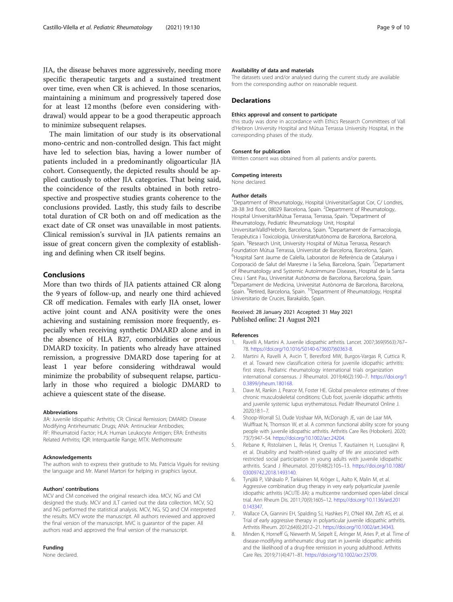<span id="page-8-0"></span>JIA, the disease behaves more aggressively, needing more specific therapeutic targets and a sustained treatment over time, even when CR is achieved. In those scenarios, maintaining a minimum and progressively tapered dose for at least 12 months (before even considering withdrawal) would appear to be a good therapeutic approach to minimize subsequent relapses.

The main limitation of our study is its observational mono-centric and non-controlled design. This fact might have led to selection bias, having a lower number of patients included in a predominantly oligoarticular JIA cohort. Consequently, the depicted results should be applied cautiously to other JIA categories. That being said, the coincidence of the results obtained in both retrospective and prospective studies grants coherence to the conclusions provided. Lastly, this study fails to describe total duration of CR both on and off medication as the exact date of CR onset was unavailable in most patients. Clinical remission's survival in JIA patients remains an issue of great concern given the complexity of establishing and defining when CR itself begins.

#### Conclusions

More than two thirds of JIA patients attained CR along the 9 years of follow-up, and nearly one third achieved CR off medication. Females with early JIA onset, lower active joint count and ANA positivity were the ones achieving and sustaining remission more frequently, especially when receiving synthetic DMARD alone and in the absence of HLA B27, comorbidities or previous DMARD toxicity. In patients who already have attained remission, a progressive DMARD dose tapering for at least 1 year before considering withdrawal would minimize the probability of subsequent relapse, particularly in those who required a biologic DMARD to achieve a quiescent state of the disease.

#### Abbreviations

JIA: Juvenile Idiopathic Arthritis; CR: Clinical Remission; DMARD: Disease Modifying Antirheumatic Drugs; ANA: Antinuclear Antibodies; RF: Rheumatoid Factor; HLA: Human Leukocyte Antigen; ERA: Enthesitis Related Arthritis; IQR: Interquartile Range; MTX: Methotrexate

#### Acknowledgements

The authors wish to express their gratitude to Ms. Patricia Vigués for revising the language and Mr. Manel Martori for helping in graphics layout.

#### Authors' contributions

MCV and CM conceived the original research idea. MCV, NG and CM designed the study. MCV and JLT carried out the data collection. MCV, SQ and NG performed the statistical analysis. MCV, NG, SQ and CM interpreted the results. MCV wrote the manuscript. All authors reviewed and approved the final version of the manuscript. MVC is guarantor of the paper. All authors read and approved the final version of the manuscript.

#### Funding

None declared.

#### Availability of data and materials

The datasets used and/or analysed during the current study are available from the corresponding author on reasonable request.

#### **Declarations**

#### Ethics approval and consent to participate

this study was done in accordance with Ethics Research Committees of Vall d'Hebron University Hospital and Mútua Terrassa University Hospital, in the corresponding phases of the study.

#### Consent for publication

Written consent was obtained from all patients and/or parents.

Competing interests None declared.

# Author details

<sup>1</sup>Department of Rheumatology, Hospital UniversitariSagrat Cor, C/ Londres, 28-38 3rd floor, 08029 Barcelona, Spain. <sup>2</sup>Department of Rheumatology Hospital UniversitariMútua Terrassa, Terrassa, Spain. <sup>3</sup>Department of Rheumatology, Pediatric Rheumatology Unit, Hospital UniversitariValld'Hebrón, Barcelona, Spain. <sup>4</sup>Departament de Farmacologia, Terapèutica i Toxicologia, UniversitatAutònoma de Barcelona, Barcelona, Spain. <sup>5</sup>Research Unit, University Hospital of Mútua Terrassa, Research Foundation Mútua Terrassa, Universitat de Barcelona, Barcelona, Spain. <sup>6</sup>Hospital Sant Jaume de Calella, Laboratori de Referència de Catalunya i Corporació de Salut del Maresme i la Selva, Barcelona, Spain. <sup>7</sup>Departament of Rheumatology and Systemic Autoimmune Diseases, Hospital de la Santa Creu i Sant Pau, Universitat Autònoma de Barcelona, Barcelona, Spain. 8 Departament de Medicina, Universitat Autònoma de Barcelona, Barcelona, Spain. <sup>9</sup>Retired, Barcelona, Spain. <sup>10</sup>Department of Rheumatology, Hospital Universitario de Cruces, Barakaldo, Spain.

#### Received: 28 January 2021 Accepted: 31 May 2021 Published online: 21 August 2021

#### References

- 1. Ravelli A, Martini A. Juvenile idiopathic arthritis. Lancet. 2007;369(9563):767– 78. [https://doi.org/10.1016/S0140-6736\(07\)60363-8.](https://doi.org/10.1016/S0140-6736(07)60363-8)
- 2. Martini A, Ravelli A, Avcin T, Beresford MW, Burgos-Vargas R, Cuttica R, et al. Toward new classification criteria for juvenile idiopathic arthritis: first steps. Pediatric rheumatology international trials organization international consensus. J Rheumatol. 2019;46(2):190–7. [https://doi.org/1](https://doi.org/10.3899/jrheum.180168) [0.3899/jrheum.180168](https://doi.org/10.3899/jrheum.180168).
- 3. Dave M, Rankin J, Pearce M, Foster HE. Global prevalence estimates of three chronic musculoskeletal conditions: Club foot, juvenile idiopathic arthritis and juvenile systemic lupus erythematosus. Pediatr Rheumatol Online J. 2020;18:1–7.
- 4. Shoop-Worrall SJ, Oude Voshaar MA, McDonagh JE, van de Laar MA, Wulffraat N, Thomson W, et al. A common functional ability score for young people with juvenile idiopathic arthritis. Arthritis Care Res (Hoboken). 2020; 73(7):947–54. [https://doi.org/10.1002/acr.24204.](https://doi.org/10.1002/acr.24204)
- 5. Rebane K, Ristolainen L, Relas H, Orenius T, Kautiainen H, Luosujärvi R, et al. Disability and health-related quality of life are associated with restricted social participation in young adults with juvenile idiopathic arthritis. Scand J Rheumatol. 2019;48(2):105–13. [https://doi.org/10.1080/](https://doi.org/10.1080/03009742.2018.1493140) [03009742.2018.1493140.](https://doi.org/10.1080/03009742.2018.1493140)
- 6. Tynjälä P, Vähäsalo P, Tarkiainen M, Kröger L, Aalto K, Malin M, et al. Aggressive combination drug therapy in very early polyarticular juvenile idiopathic arthritis (ACUTE-JIA): a multicentre randomised open-label clinical trial. Ann Rheum Dis. 2011;70(9):1605–12. [https://doi.org/10.1136/ard.201](https://doi.org/10.1136/ard.2010.143347) [0.143347.](https://doi.org/10.1136/ard.2010.143347)
- 7. Wallace CA, Giannini EH, Spalding SJ, Hashkes PJ, O'Neil KM, Zeft AS, et al. Trial of early aggressive therapy in polyarticular juvenile idiopathic arthritis. Arthritis Rheum. 2012;64(6):2012–21. [https://doi.org/10.1002/art.34343.](https://doi.org/10.1002/art.34343)
- 8. Minden K, Horneff G, Niewerth M, Seipelt E, Aringer M, Aries P, et al. Time of disease-modifying antirheumatic drug start in juvenile idiopathic arthritis and the likelihood of a drug-free remission in young adulthood. Arthritis Care Res. 2019;71(4):471–81. <https://doi.org/10.1002/acr.23709>.